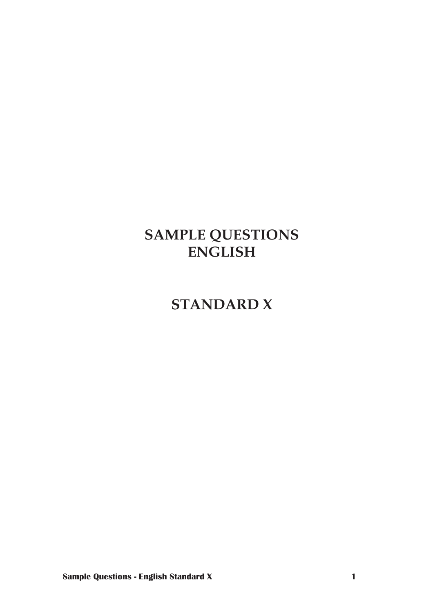# **SAMPLE QUESTIONS ENGLISH**

# **STANDARD X**

**Sample Questions - English Standard X 1**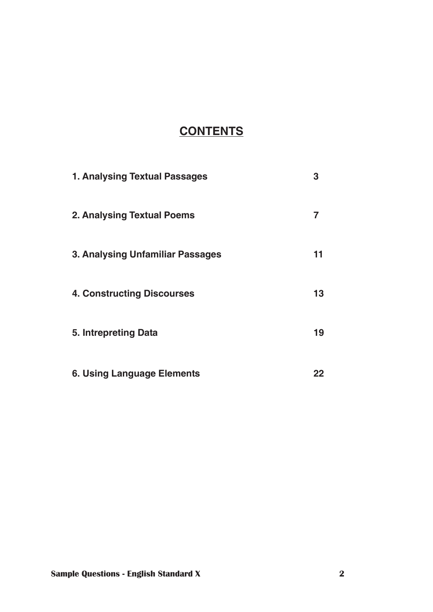## **CONTENTS**

| 1. Analysing Textual Passages     | 3  |
|-----------------------------------|----|
| <b>2. Analysing Textual Poems</b> | 7  |
| 3. Analysing Unfamiliar Passages  | 11 |
| <b>4. Constructing Discourses</b> | 13 |
| 5. Intrepreting Data              | 19 |
| <b>6. Using Language Elements</b> | 22 |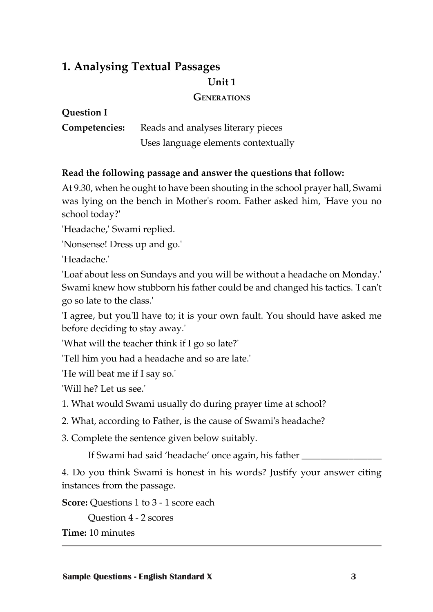## **1. Analysing Textual Passages**

**Unit 1**

#### **GENERATIONS**

| Question I |                                                         |
|------------|---------------------------------------------------------|
|            | <b>Competencies:</b> Reads and analyses literary pieces |
|            | Uses language elements contextually                     |

### **Read the following passage and answer the questions that follow:**

At 9.30, when he ought to have been shouting in the school prayer hall, Swami was lying on the bench in Mother's room. Father asked him, 'Have you no school today?'

'Headache,' Swami replied.

'Nonsense! Dress up and go.'

'Headache.'

'Loaf about less on Sundays and you will be without a headache on Monday.' Swami knew how stubborn his father could be and changed his tactics. 'I can't go so late to the class.'

'I agree, but you'll have to; it is your own fault. You should have asked me before deciding to stay away.'

'What will the teacher think if I go so late?'

'Tell him you had a headache and so are late.'

'He will beat me if I say so.'

'Will he? Let us see.'

1. What would Swami usually do during prayer time at school?

2. What, according to Father, is the cause of Swami's headache?

3. Complete the sentence given below suitably.

If Swami had said 'headache' once again, his father \_\_\_\_\_\_\_\_\_\_\_\_\_\_\_\_\_\_\_\_\_\_\_\_\_\_\_\_

4. Do you think Swami is honest in his words? Justify your answer citing instances from the passage.

**Score:** Ouestions 1 to 3 - 1 score each

Question 4 - 2 scores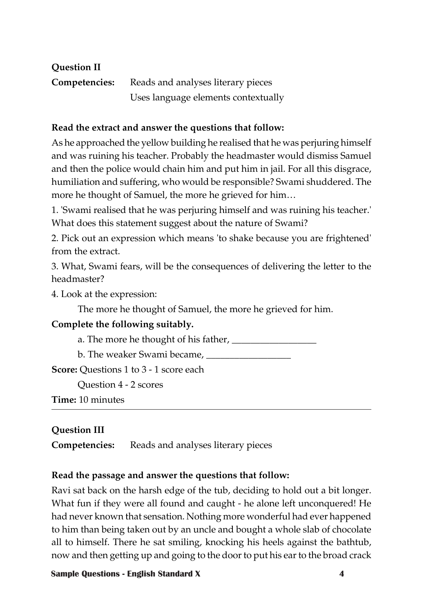#### **Question II**

**Competencies:** Reads and analyses literary pieces Uses language elements contextually

#### **Read the extract and answer the questions that follow:**

As he approached the yellow building he realised that he was perjuring himself and was ruining his teacher. Probably the headmaster would dismiss Samuel and then the police would chain him and put him in jail. For all this disgrace, humiliation and suffering, who would be responsible? Swami shuddered. The more he thought of Samuel, the more he grieved for him…

1. 'Swami realised that he was perjuring himself and was ruining his teacher.' What does this statement suggest about the nature of Swami?

2. Pick out an expression which means 'to shake because you are frightened' from the extract.

3. What, Swami fears, will be the consequences of delivering the letter to the headmaster?

4. Look at the expression:

The more he thought of Samuel, the more he grieved for him.

#### **Complete the following suitably.**

| a. The more he thought of his father,         |  |
|-----------------------------------------------|--|
| b. The weaker Swami became,                   |  |
| <b>Score:</b> Questions 1 to 3 - 1 score each |  |
| Question 4 - 2 scores                         |  |
| <b>Time:</b> 10 minutes                       |  |

#### **Question III**

**Competencies:** Reads and analyses literary pieces

#### **Read the passage and answer the questions that follow:**

Ravi sat back on the harsh edge of the tub, deciding to hold out a bit longer. What fun if they were all found and caught - he alone left unconquered! He had never known that sensation. Nothing more wonderful had ever happened to him than being taken out by an uncle and bought a whole slab of chocolate all to himself. There he sat smiling, knocking his heels against the bathtub, now and then getting up and going to the door to put his ear to the broad crack

#### **Sample Questions - English Standard X 4**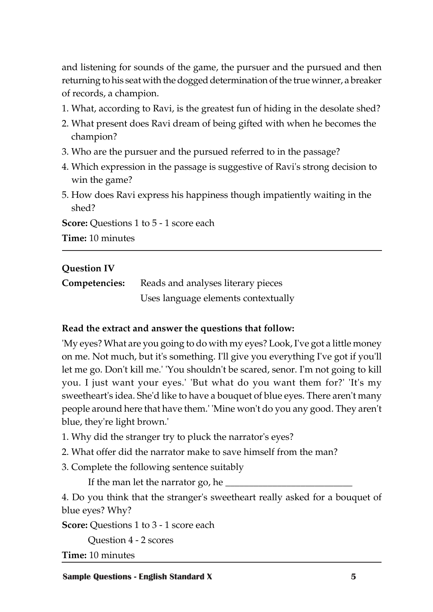and listening for sounds of the game, the pursuer and the pursued and then returning to his seat with the dogged determination of the true winner, a breaker of records, a champion.

- 1. What, according to Ravi, is the greatest fun of hiding in the desolate shed?
- 2. What present does Ravi dream of being gifted with when he becomes the champion?
- 3. Who are the pursuer and the pursued referred to in the passage?
- 4. Which expression in the passage is suggestive of Ravi's strong decision to win the game?
- 5. How does Ravi express his happiness though impatiently waiting in the shed?

**Score:** Questions 1 to 5 - 1 score each

**Time:** 10 minutes

### **Question IV**

**Competencies:** Reads and analyses literary pieces Uses language elements contextually

## **Read the extract and answer the questions that follow:**

'My eyes? What are you going to do with my eyes? Look, I've got a little money on me. Not much, but it's something. I'll give you everything I've got if you'll let me go. Don't kill me.' 'You shouldn't be scared, senor. I'm not going to kill you. I just want your eyes.' 'But what do you want them for?' 'It's my sweetheart's idea. She'd like to have a bouquet of blue eyes. There aren't many people around here that have them.' 'Mine won't do you any good. They aren't blue, they're light brown.'

- 1. Why did the stranger try to pluck the narrator's eyes?
- 2. What offer did the narrator make to save himself from the man?
- 3. Complete the following sentence suitably

If the man let the narrator go, he  $\_$ 

4. Do you think that the stranger's sweetheart really asked for a bouquet of blue eyes? Why?

**Score:** Questions 1 to 3 - 1 score each

Question 4 - 2 scores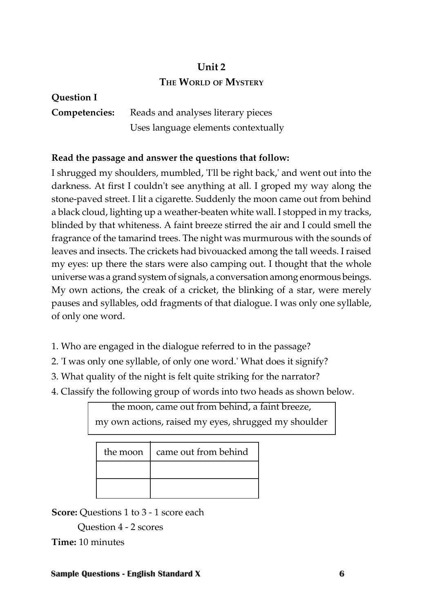## **Unit 2**

## **THE WORLD OF MYSTERY**

### **Question I**

**Competencies:** Reads and analyses literary pieces Uses language elements contextually

## **Read the passage and answer the questions that follow:**

I shrugged my shoulders, mumbled, 'I'll be right back,' and went out into the darkness. At first I couldn't see anything at all. I groped my way along the stone-paved street. I lit a cigarette. Suddenly the moon came out from behind a black cloud, lighting up a weather-beaten white wall. I stopped in my tracks, blinded by that whiteness. A faint breeze stirred the air and I could smell the fragrance of the tamarind trees. The night was murmurous with the sounds of leaves and insects. The crickets had bivouacked among the tall weeds. I raised my eyes: up there the stars were also camping out. I thought that the whole universe was a grand system of signals, a conversation among enormous beings. My own actions, the creak of a cricket, the blinking of a star, were merely pauses and syllables, odd fragments of that dialogue. I was only one syllable, of only one word.

- 1. Who are engaged in the dialogue referred to in the passage?
- 2. 'I was only one syllable, of only one word.' What does it signify?
- 3. What quality of the night is felt quite striking for the narrator?
- 4. Classify the following group of words into two heads as shown below.

the moon, came out from behind, a faint breeze, my own actions, raised my eyes, shrugged my shoulder

| the moon | came out from behind |
|----------|----------------------|
|          |                      |
|          |                      |

**Score:** Questions 1 to 3 - 1 score each

Question 4 - 2 scores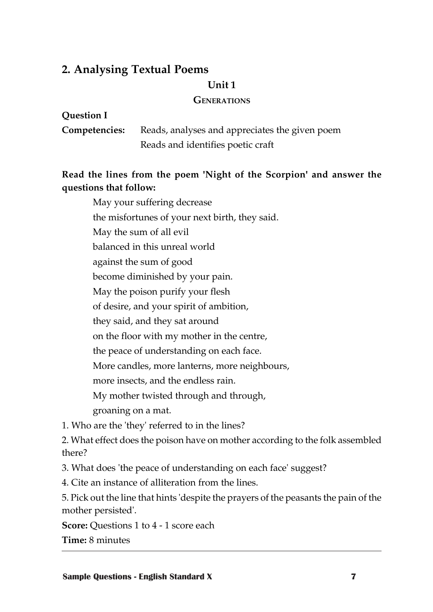## **2. Analysing Textual Poems**

#### **Unit 1**

#### **GENERATIONS**

#### **Question I**

| <b>Competencies:</b> Reads, analyses and appreciates the given poem |
|---------------------------------------------------------------------|
| Reads and identifies poetic craft                                   |

## **Read the lines from the poem 'Night of the Scorpion' and answer the questions that follow:**

May your suffering decrease the misfortunes of your next birth, they said. May the sum of all evil balanced in this unreal world against the sum of good become diminished by your pain. May the poison purify your flesh of desire, and your spirit of ambition, they said, and they sat around on the floor with my mother in the centre, the peace of understanding on each face. More candles, more lanterns, more neighbours, more insects, and the endless rain. My mother twisted through and through, groaning on a mat. 1. Who are the 'they' referred to in the lines? 2. What effect does the poison have on mother according to the folk assembled

there?

3. What does 'the peace of understanding on each face' suggest?

4. Cite an instance of alliteration from the lines.

5. Pick out the line that hints 'despite the prayers of the peasants the pain of the mother persisted'.

**Score:** Questions 1 to 4 - 1 score each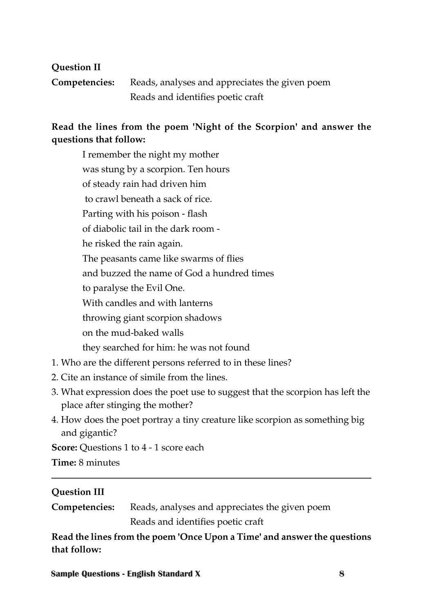#### **Question II**

**Competencies:** Reads, analyses and appreciates the given poem Reads and identifies poetic craft

## **Read the lines from the poem 'Night of the Scorpion' and answer the questions that follow:**

I remember the night my mother was stung by a scorpion. Ten hours of steady rain had driven him to crawl beneath a sack of rice. Parting with his poison - flash of diabolic tail in the dark room he risked the rain again. The peasants came like swarms of flies and buzzed the name of God a hundred times to paralyse the Evil One. With candles and with lanterns throwing giant scorpion shadows on the mud-baked walls they searched for him: he was not found 1. Who are the different persons referred to in these lines?

- 2. Cite an instance of simile from the lines.
- 3. What expression does the poet use to suggest that the scorpion has left the place after stinging the mother?
- 4. How does the poet portray a tiny creature like scorpion as something big and gigantic?

**Score:** Ouestions 1 to 4 - 1 score each

**Time:** 8 minutes

#### **Question III**

**Competencies:** Reads, analyses and appreciates the given poem Reads and identifies poetic craft

**Read the lines from the poem 'Once Upon a Time' and answer the questions that follow:**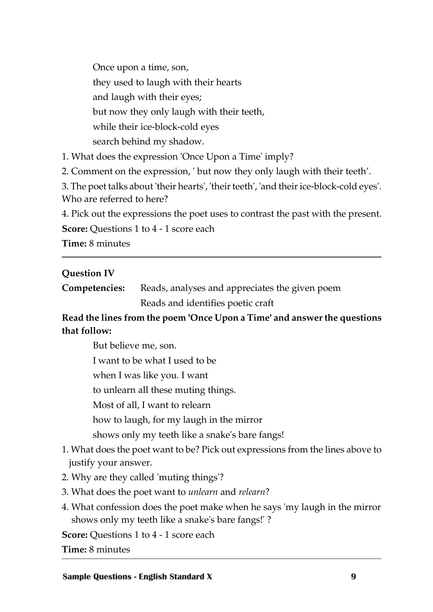Once upon a time, son, they used to laugh with their hearts and laugh with their eyes; but now they only laugh with their teeth, while their ice-block-cold eyes search behind my shadow.

1. What does the expression 'Once Upon a Time' imply?

2. Comment on the expression, ' but now they only laugh with their teeth'.

3. The poet talks about 'their hearts', 'their teeth', 'and their ice-block-cold eyes'. Who are referred to here?

4. Pick out the expressions the poet uses to contrast the past with the present.

**Score:** Questions 1 to 4 - 1 score each

**Time:** 8 minutes

#### **Question IV**

**Competencies:** Reads, analyses and appreciates the given poem Reads and identifies poetic craft

**Read the lines from the poem 'Once Upon a Time' and answer the questions that follow:**

But believe me, son.

I want to be what I used to be

when I was like you. I want

to unlearn all these muting things.

Most of all, I want to relearn

how to laugh, for my laugh in the mirror

shows only my teeth like a snake's bare fangs!

- 1. What does the poet want to be? Pick out expressions from the lines above to justify your answer.
- 2. Why are they called 'muting things'?
- 3. What does the poet want to *unlearn* and *relearn*?
- 4. What confession does the poet make when he says 'my laugh in the mirror shows only my teeth like a snake's bare fangs!' ?

**Score:** Questions 1 to 4 - 1 score each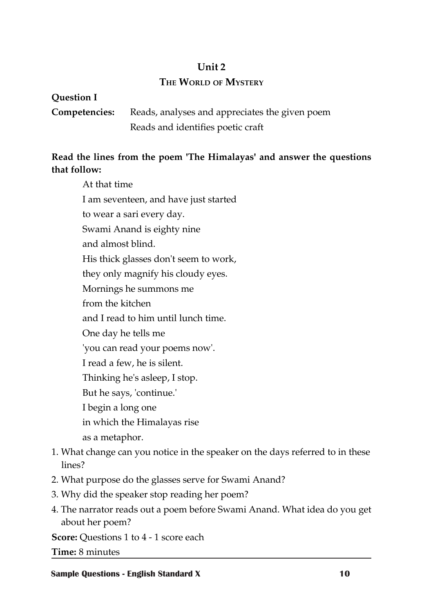## **Unit 2**

## **THE WORLD OF MYSTERY**

# **Question I**

**Competencies:** Reads, analyses and appreciates the given poem Reads and identifies poetic craft

## **Read the lines from the poem 'The Himalayas' and answer the questions that follow:**

At that time I am seventeen, and have just started to wear a sari every day. Swami Anand is eighty nine and almost blind. His thick glasses don't seem to work, they only magnify his cloudy eyes. Mornings he summons me from the kitchen and I read to him until lunch time. One day he tells me 'you can read your poems now'. I read a few, he is silent. Thinking he's asleep, I stop. But he says, 'continue.' I begin a long one in which the Himalayas rise as a metaphor.

- 1. What change can you notice in the speaker on the days referred to in these lines?
- 2. What purpose do the glasses serve for Swami Anand?
- 3. Why did the speaker stop reading her poem?
- 4. The narrator reads out a poem before Swami Anand. What idea do you get about her poem?

**Score:** Questions 1 to 4 - 1 score each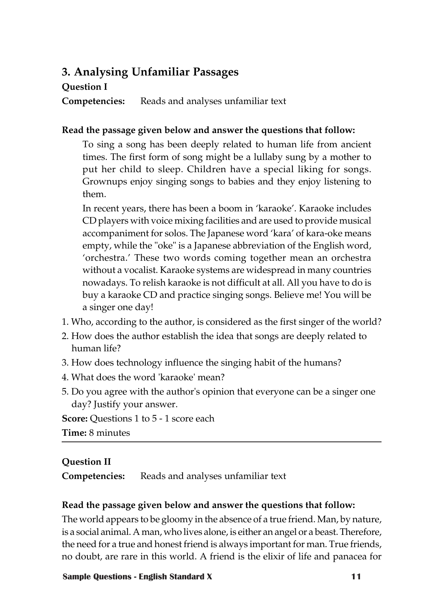## **3. Analysing Unfamiliar Passages**

## **Question I**

**Competencies:** Reads and analyses unfamiliar text

### **Read the passage given below and answer the questions that follow:**

To sing a song has been deeply related to human life from ancient times. The first form of song might be a lullaby sung by a mother to put her child to sleep. Children have a special liking for songs. Grownups enjoy singing songs to babies and they enjoy listening to them.

In recent years, there has been a boom in 'karaoke'. Karaoke includes CD players with voice mixing facilities and are used to provide musical accompaniment for solos. The Japanese word 'kara' of kara-oke means empty, while the "oke" is a Japanese abbreviation of the English word, 'orchestra.' These two words coming together mean an orchestra without a vocalist. Karaoke systems are widespread in many countries nowadays. To relish karaoke is not difficult at all. All you have to do is buy a karaoke CD and practice singing songs. Believe me! You will be a singer one day!

- 1. Who, according to the author, is considered as the first singer of the world?
- 2. How does the author establish the idea that songs are deeply related to human life?
- 3. How does technology influence the singing habit of the humans?
- 4. What does the word 'karaoke' mean?
- 5. Do you agree with the author's opinion that everyone can be a singer one day? Justify your answer.

**Score:** Questions 1 to 5 - 1 score each

**Time:** 8 minutes

## **Question II**

**Competencies:** Reads and analyses unfamiliar text

## **Read the passage given below and answer the questions that follow:**

The world appears to be gloomy in the absence of a true friend. Man, by nature, is a social animal. A man, who lives alone, is either an angel or a beast. Therefore, the need for a true and honest friend is always important for man. True friends, no doubt, are rare in this world. A friend is the elixir of life and panacea for

#### **Sample Questions - English Standard X 11**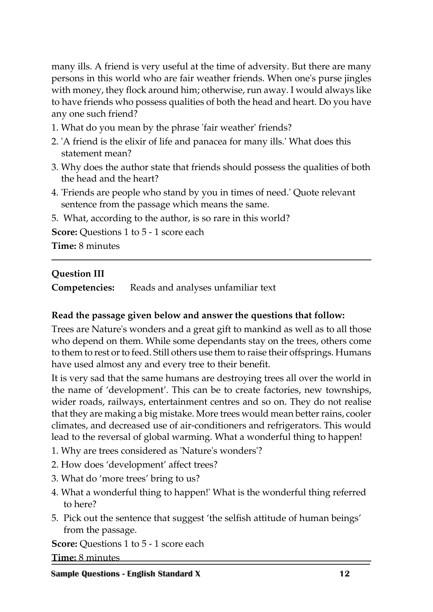many ills. A friend is very useful at the time of adversity. But there are many persons in this world who are fair weather friends. When one's purse jingles with money, they flock around him; otherwise, run away. I would always like to have friends who possess qualities of both the head and heart. Do you have any one such friend?

- 1. What do you mean by the phrase 'fair weather' friends?
- 2. 'A friend is the elixir of life and panacea for many ills.' What does this statement mean?
- 3. Why does the author state that friends should possess the qualities of both the head and the heart?
- 4. 'Friends are people who stand by you in times of need.' Quote relevant sentence from the passage which means the same.
- 5. What, according to the author, is so rare in this world?

**Score:** Questions 1 to 5 - 1 score each

**Time:** 8 minutes

## **Question III**

**Competencies:** Reads and analyses unfamiliar text

## **Read the passage given below and answer the questions that follow:**

Trees are Nature's wonders and a great gift to mankind as well as to all those who depend on them. While some dependants stay on the trees, others come to them to rest or to feed. Still others use them to raise their offsprings. Humans have used almost any and every tree to their benefit.

It is very sad that the same humans are destroying trees all over the world in the name of 'development'. This can be to create factories, new townships, wider roads, railways, entertainment centres and so on. They do not realise that they are making a big mistake. More trees would mean better rains, cooler climates, and decreased use of air-conditioners and refrigerators. This would lead to the reversal of global warming. What a wonderful thing to happen!

- 1. Why are trees considered as 'Nature's wonders'?
- 2. How does 'development' affect trees?
- 3. What do 'more trees' bring to us?
- 4. What a wonderful thing to happen!' What is the wonderful thing referred to here?
- 5. Pick out the sentence that suggest 'the selfish attitude of human beings' from the passage.

**Score:** Questions 1 to 5 - 1 score each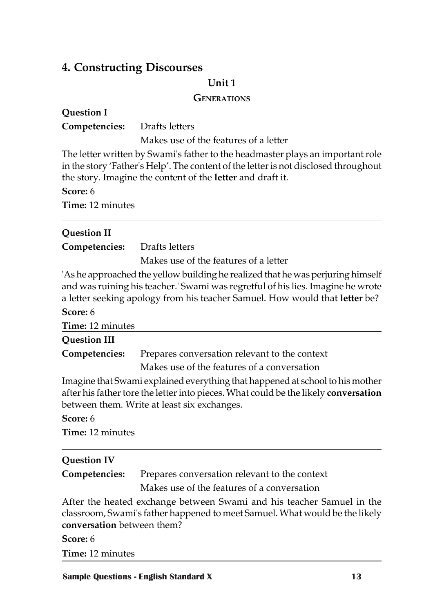## **4. Constructing Discourses**

#### **Unit 1**

#### **GENERATIONS**

#### **Question I**

| Drafts letters |
|----------------|
|                |

Makes use of the features of a letter

The letter written by Swami's father to the headmaster plays an important role in the story 'Father's Help'. The content of the letter is not disclosed throughout the story. Imagine the content of the **letter** and draft it.

**Score:** 6

**Time:** 12 minutes

#### **Question II**

| <b>Competencies:</b> Drafts letters |                                       |
|-------------------------------------|---------------------------------------|
|                                     | Makes use of the features of a letter |

'As he approached the yellow building he realized that he was perjuring himself and was ruining his teacher.' Swami was regretful of his lies. Imagine he wrote a letter seeking apology from his teacher Samuel. How would that **letter** be?

**Score:** 6

**Time:** 12 minutes

#### **Question III**

**Competencies:** Prepares conversation relevant to the context

Makes use of the features of a conversation

Imagine that Swami explained everything that happened at school to his mother after his father tore the letter into pieces. What could be the likely **conversation** between them. Write at least six exchanges.

#### **Score:** 6

**Time:** 12 minutes

#### **Question IV**

**Competencies:** Prepares conversation relevant to the context Makes use of the features of a conversation

After the heated exchange between Swami and his teacher Samuel in the classroom, Swami's father happened to meet Samuel. What would be the likely **conversation** between them?

**Score:** 6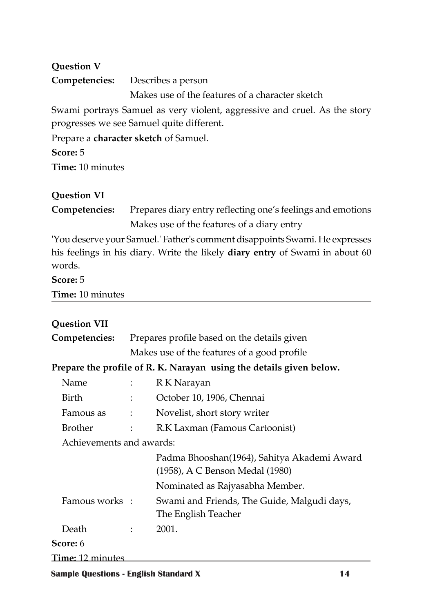| <b>Ouestion V</b>       |                                                                           |
|-------------------------|---------------------------------------------------------------------------|
|                         | <b>Competencies:</b> Describes a person                                   |
|                         | Makes use of the features of a character sketch                           |
|                         | Swami portrays Samuel as very violent, aggressive and cruel. As the story |
|                         | progresses we see Samuel quite different.                                 |
|                         | Prepare a <b>character sketch</b> of Samuel.                              |
| Score: 5                |                                                                           |
| <b>Time:</b> 10 minutes |                                                                           |

| Question VI          |                                                                             |
|----------------------|-----------------------------------------------------------------------------|
| <b>Competencies:</b> | Prepares diary entry reflecting one's feelings and emotions                 |
|                      | Makes use of the features of a diary entry                                  |
|                      | 'You deserve your Samuel.' Father's comment disappoints Swami. He expresses |

his feelings in his diary. Write the likely **diary entry** of Swami in about 60 words.

## **Score:** 5

| <b>Question VII</b>      |                                              |                                                                                |  |  |
|--------------------------|----------------------------------------------|--------------------------------------------------------------------------------|--|--|
| Competencies:            | Prepares profile based on the details given  |                                                                                |  |  |
|                          | Makes use of the features of a good profile. |                                                                                |  |  |
|                          |                                              | Prepare the profile of R. K. Narayan using the details given below.            |  |  |
| Name                     | $1 - 1$                                      | R K Narayan                                                                    |  |  |
| Birth                    | $\ddot{\cdot}$                               | October 10, 1906, Chennai                                                      |  |  |
| Famous as                | $\sim 10^{11}$ MeV and $\sim 10^{11}$        | Novelist, short story writer                                                   |  |  |
| <b>Brother</b>           |                                              | R.K Laxman (Famous Cartoonist)                                                 |  |  |
| Achievements and awards: |                                              |                                                                                |  |  |
|                          |                                              | Padma Bhooshan(1964), Sahitya Akademi Award<br>(1958), A C Benson Medal (1980) |  |  |
|                          |                                              | Nominated as Rajyasabha Member.                                                |  |  |
| Famous works :           |                                              | Swami and Friends, The Guide, Malgudi days,<br>The English Teacher             |  |  |
| Death                    | $\ddot{\phantom{a}}$                         | 2001.                                                                          |  |  |
| Score: 6                 |                                              |                                                                                |  |  |
| <b>Time:</b> 12 minutes  |                                              |                                                                                |  |  |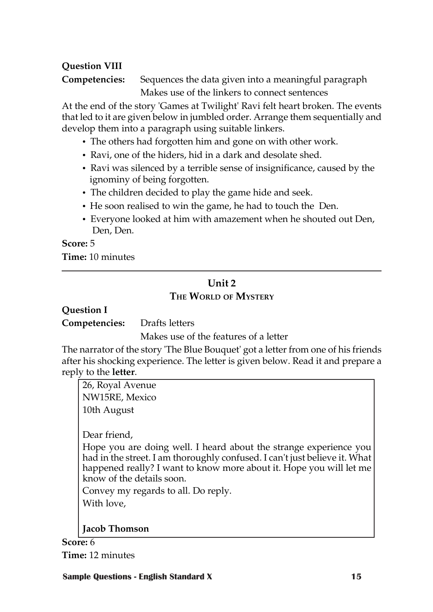## **Question VIII**

**Competencies:** Sequences the data given into a meaningful paragraph Makes use of the linkers to connect sentences

At the end of the story 'Games at Twilight' Ravi felt heart broken. The events that led to it are given below in jumbled order. Arrange them sequentially and develop them into a paragraph using suitable linkers.

- The others had forgotten him and gone on with other work.
- Ravi, one of the hiders, hid in a dark and desolate shed.
- Ravi was silenced by a terrible sense of insignificance, caused by the ignominy of being forgotten.
- The children decided to play the game hide and seek.
- He soon realised to win the game, he had to touch the Den.
- Everyone looked at him with amazement when he shouted out Den, Den, Den.

**Score:** 5

**Time:** 10 minutes

#### **Unit 2 THE WORLD OF MYSTERY**

#### **Question I**

**Competencies:** Drafts letters

Makes use of the features of a letter

The narrator of the story 'The Blue Bouquet' got a letter from one of his friends after his shocking experience. The letter is given below. Read it and prepare a reply to the **letter**.

26, Royal Avenue NW15RE, Mexico 10th August

#### Dear friend,

Hope you are doing well. I heard about the strange experience you had in the street. I am thoroughly confused. I can't just believe it. What happened really? I want to know more about it. Hope you will let me know of the details soon.

Convey my regards to all. Do reply. With love,

**Jacob Thomson**

**Score:** 6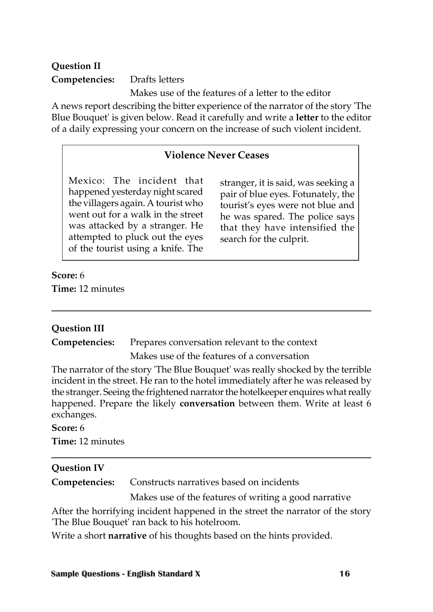#### **Question II**

**Competencies:** Drafts letters

Makes use of the features of a letter to the editor

A news report describing the bitter experience of the narrator of the story 'The Blue Bouquet' is given below. Read it carefully and write a **letter** to the editor of a daily expressing your concern on the increase of such violent incident.

#### **Violence Never Ceases**

Mexico: The incident that happened yesterday night scared the villagers again. A tourist who went out for a walk in the street was attacked by a stranger. He attempted to pluck out the eyes of the tourist using a knife. The

stranger, it is said, was seeking a pair of blue eyes. Fotunately, the tourist's eyes were not blue and he was spared. The police says that they have intensified the search for the culprit.

## **Score:** 6

**Time:** 12 minutes

#### **Question III**

**Competencies:** Prepares conversation relevant to the context

Makes use of the features of a conversation

The narrator of the story 'The Blue Bouquet' was really shocked by the terrible incident in the street. He ran to the hotel immediately after he was released by the stranger. Seeing the frightened narrator the hotelkeeper enquires what really happened. Prepare the likely **conversation** between them. Write at least 6 exchanges.

#### **Score:** 6

**Time:** 12 minutes

#### **Question IV**

**Competencies:** Constructs narratives based on incidents

Makes use of the features of writing a good narrative

After the horrifying incident happened in the street the narrator of the story 'The Blue Bouquet' ran back to his hotelroom.

Write a short **narrative** of his thoughts based on the hints provided.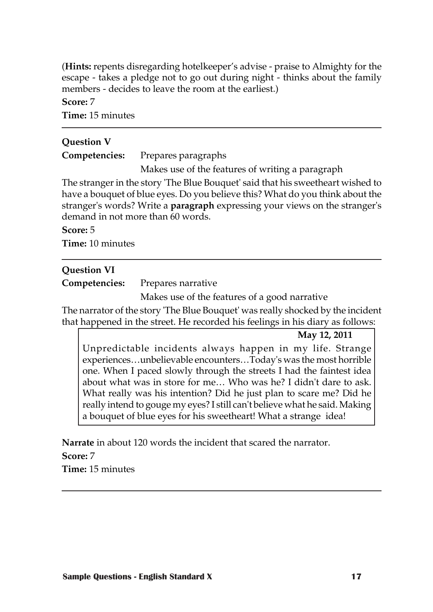(**Hints:** repents disregarding hotelkeeper's advise - praise to Almighty for the escape - takes a pledge not to go out during night - thinks about the family members - decides to leave the room at the earliest.)

# **Score:** 7

**Time:** 15 minutes

#### **Question V**

**Competencies:** Prepares paragraphs

Makes use of the features of writing a paragraph

The stranger in the story 'The Blue Bouquet' said that his sweetheart wished to have a bouquet of blue eyes. Do you believe this? What do you think about the stranger's words? Write a **paragraph** expressing your views on the stranger's demand in not more than 60 words.

#### **Score:** 5

**Time:** 10 minutes

#### **Question VI**

**Competencies:** Prepares narrative

Makes use of the features of a good narrative

The narrator of the story 'The Blue Bouquet' was really shocked by the incident that happened in the street. He recorded his feelings in his diary as follows:

#### **May 12, 2011**

Unpredictable incidents always happen in my life. Strange experiences…unbelievable encounters…Today's was the most horrible one. When I paced slowly through the streets I had the faintest idea about what was in store for me… Who was he? I didn't dare to ask. What really was his intention? Did he just plan to scare me? Did he really intend to gouge my eyes? I still can't believe what he said. Making a bouquet of blue eyes for his sweetheart! What a strange idea!

**Narrate** in about 120 words the incident that scared the narrator. **Score:** 7 **Time:** 15 minutes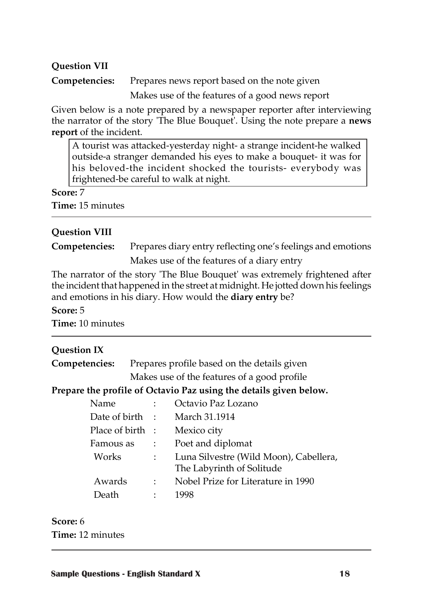#### **Question VII**

**Competencies:** Prepares news report based on the note given

Makes use of the features of a good news report

Given below is a note prepared by a newspaper reporter after interviewing the narrator of the story 'The Blue Bouquet'. Using the note prepare a **news report** of the incident.

A tourist was attacked-yesterday night- a strange incident-he walked outside-a stranger demanded his eyes to make a bouquet- it was for his beloved-the incident shocked the tourists- everybody was frightened-be careful to walk at night.

#### **Score:** 7

**Time:** 15 minutes

#### **Question VIII**

**Competencies:** Prepares diary entry reflecting one's feelings and emotions Makes use of the features of a diary entry

The narrator of the story 'The Blue Bouquet' was extremely frightened after the incident that happened in the street at midnight. He jotted down his feelings and emotions in his diary. How would the **diary entry** be?

#### **Score:** 5

**Time:** 10 minutes

#### **Question IX**

**Competencies:** Prepares profile based on the details given Makes use of the features of a good profile

#### **Prepare the profile of Octavio Paz using the details given below.**

| Name                 | $\sim 10^6$      | Octavio Paz Lozano                                                  |
|----------------------|------------------|---------------------------------------------------------------------|
| Date of birth $\;$ : |                  | March 31.1914                                                       |
| Place of birth :     |                  | Mexico city                                                         |
| Famous as            | $\sim$ 10 $\sim$ | Poet and diplomat                                                   |
| Works                |                  | Luna Silvestre (Wild Moon), Cabellera,<br>The Labyrinth of Solitude |
| Awards               | $\mathcal{L}$    | Nobel Prize for Literature in 1990                                  |
| Death                |                  | 1998                                                                |

# **Score:** 6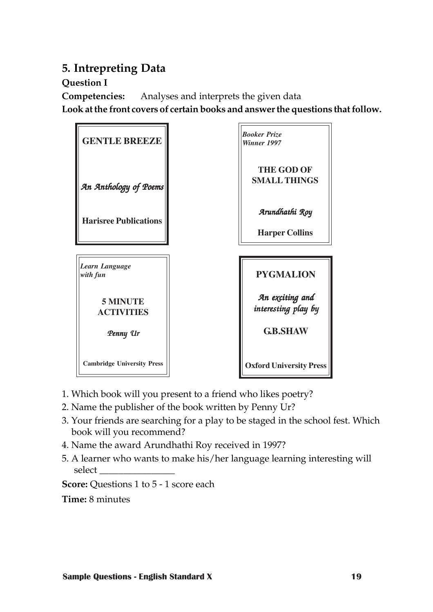## **5. Intrepreting Data**

## **Question I**

**Competencies:** Analyses and interprets the given data **Look at the front covers of certain books and answer the questions that follow.**



- 1. Which book will you present to a friend who likes poetry?
- 2. Name the publisher of the book written by Penny Ur?
- 3. Your friends are searching for a play to be staged in the school fest. Which book will you recommend?
- 4. Name the award Arundhathi Roy received in 1997?
- 5. A learner who wants to make his/her language learning interesting will select \_\_\_\_\_\_\_\_\_\_\_\_\_\_\_\_

**Score:** Ouestions 1 to 5 - 1 score each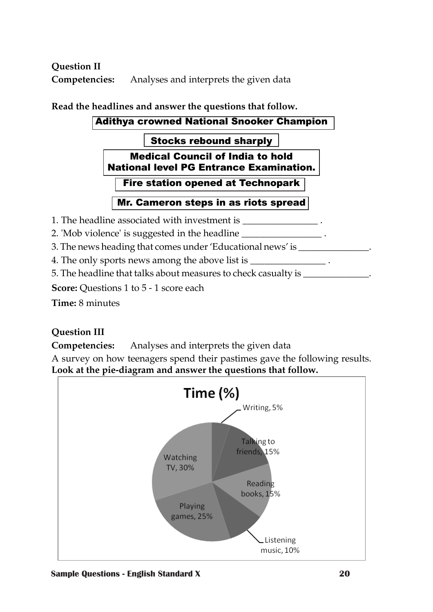## **Question II**

**Competencies:** Analyses and interprets the given data

**Read the headlines and answer the questions that follow.**

## Adithya crowned National Snooker Champion Stocks rebound sharply Medical Council of India to hold National level PG Entrance Examination. Fire station opened at Technopark Mr. Cameron steps in as riots spread 1. The headline associated with investment is \_\_\_\_\_\_\_\_\_\_\_\_\_\_\_\_ 2. 'Mob violence' is suggested in the headline

3. The news heading that comes under 'Educational news' is \_\_\_\_\_\_\_\_\_\_\_\_\_\_\_\_\_\_\_\_\_

4. The only sports news among the above list is \_\_\_\_\_\_\_\_\_\_\_\_\_\_\_\_\_\_\_\_\_\_\_\_\_\_\_\_\_\_\_\_

5. The headline that talks about measures to check casualty is \_\_\_\_\_\_\_\_\_\_\_\_\_\_.

**Score:** Questions 1 to 5 - 1 score each

**Time:** 8 minutes

## **Question III**

**Competencies:** Analyses and interprets the given data

A survey on how teenagers spend their pastimes gave the following results. **Look at the pie-diagram and answer the questions that follow.**

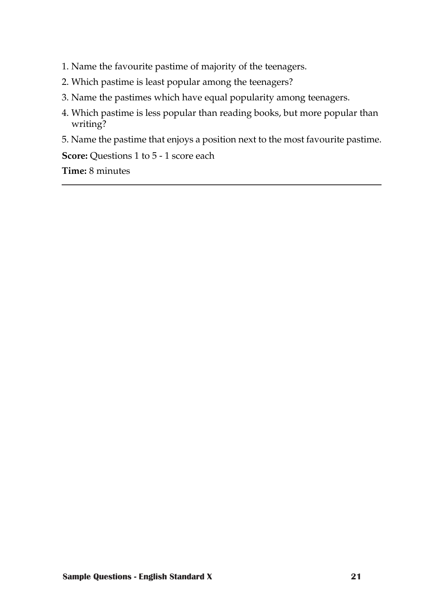- 1. Name the favourite pastime of majority of the teenagers.
- 2. Which pastime is least popular among the teenagers?
- 3. Name the pastimes which have equal popularity among teenagers.
- 4. Which pastime is less popular than reading books, but more popular than writing?
- 5. Name the pastime that enjoys a position next to the most favourite pastime.

**Score:** Questions 1 to 5 - 1 score each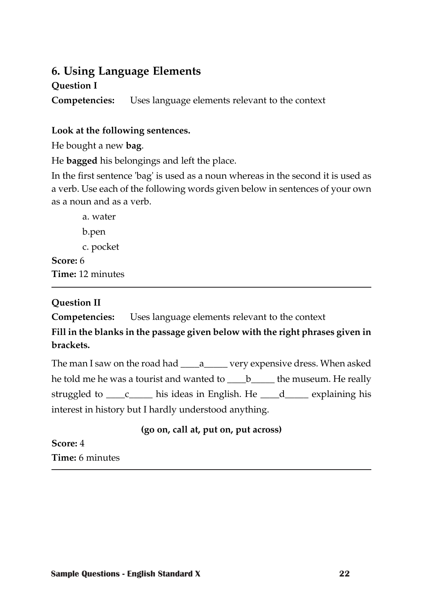## **6. Using Language Elements**

## **Question I**

**Competencies:** Uses language elements relevant to the context

#### **Look at the following sentences.**

He bought a new **bag**.

He **bagged** his belongings and left the place.

In the first sentence 'bag' is used as a noun whereas in the second it is used as a verb. Use each of the following words given below in sentences of your own as a noun and as a verb.

a. water b.pen c. pocket **Score:** 6 **Time:** 12 minutes

## **Question II**

**Competencies:** Uses language elements relevant to the context

**Fill in the blanks in the passage given below with the right phrases given in brackets.**

The man I saw on the road had \_\_\_\_a\_\_\_\_\_ very expensive dress. When asked he told me he was a tourist and wanted to \_\_\_\_b\_\_\_\_\_ the museum. He really struggled to \_\_\_\_\_\_\_\_\_\_\_\_ his ideas in English. He \_\_\_\_\_d\_\_\_\_\_\_ explaining his interest in history but I hardly understood anything.

## **(go on, call at, put on, put across)**

**Score:** 4 **Time:** 6 minutes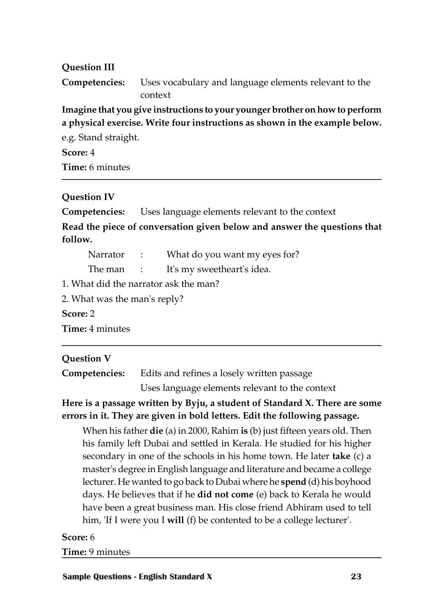#### **Question III**

**Competencies:** Uses vocabulary and language elements relevant to the context

**Imagine that you give instructions to your younger brother on how to perform a physical exercise. Write four instructions as shown in the example below.**

e.g. Stand straight.

**Score:** 4

**Time:** 6 minutes

#### **Question IV**

**Competencies:** Uses language elements relevant to the context

**Read the piece of conversation given below and answer the questions that follow.**

| What do you want my eyes for?<br>Narrator |  |
|-------------------------------------------|--|
|-------------------------------------------|--|

The man : It's my sweetheart's idea.

1. What did the narrator ask the man?

2. What was the man's reply?

**Score:** 2

**Time:** 4 minutes

#### **Question V**

**Competencies:** Edits and refines a losely written passage

Uses language elements relevant to the context

## **Here is a passage written by Byju, a student of Standard X. There are some errors in it. They are given in bold letters. Edit the following passage.**

When his father **die** (a) in 2000, Rahim **is** (b) just fifteen years old. Then his family left Dubai and settled in Kerala. He studied for his higher secondary in one of the schools in his home town. He later **take** (c) a master's degree in English language and literature and became a college lecturer. He wanted to go back to Dubai where he **spend** (d) his boyhood days. He believes that if he **did not come** (e) back to Kerala he would have been a great business man. His close friend Abhiram used to tell him, 'If I were you I **will** (f) be contented to be a college lecturer'.

#### **Score:** 6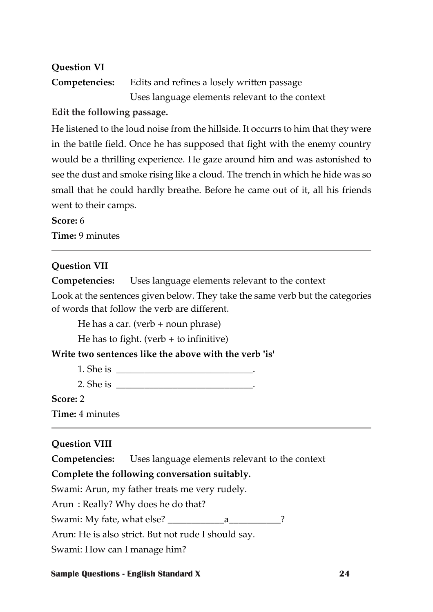#### **Question VI**

**Competencies:** Edits and refines a losely written passage Uses language elements relevant to the context

#### **Edit the following passage.**

He listened to the loud noise from the hillside. It occurrs to him that they were in the battle field. Once he has supposed that fight with the enemy country would be a thrilling experience. He gaze around him and was astonished to see the dust and smoke rising like a cloud. The trench in which he hide was so small that he could hardly breathe. Before he came out of it, all his friends went to their camps.

**Score:** 6 **Time:** 9 minutes

#### **Question VII**

**Competencies:** Uses language elements relevant to the context Look at the sentences given below. They take the same verb but the categories of words that follow the verb are different.

He has a car. (verb + noun phrase)

He has to fight. (verb  $+$  to infinitive)

#### **Write two sentences like the above with the verb 'is'**

1. She is \_\_\_\_\_\_\_\_\_\_\_\_\_\_\_\_\_\_\_\_\_\_\_\_\_\_\_\_\_\_\_\_\_.

2. She is \_\_\_\_\_\_\_\_\_\_\_\_\_\_\_\_\_\_\_\_\_\_\_\_\_\_\_\_\_.

**Score:** 2

**Time:** 4 minutes

#### **Question VIII**

**Competencies:** Uses language elements relevant to the context

#### **Complete the following conversation suitably.**

Swami: Arun, my father treats me very rudely.

Arun : Really? Why does he do that?

Swami: My fate, what else? \_\_\_\_\_\_\_\_\_\_\_\_a\_\_\_\_\_\_\_\_\_\_\_?

Arun: He is also strict. But not rude I should say.

Swami: How can I manage him?

#### **Sample Questions - English Standard X 24**